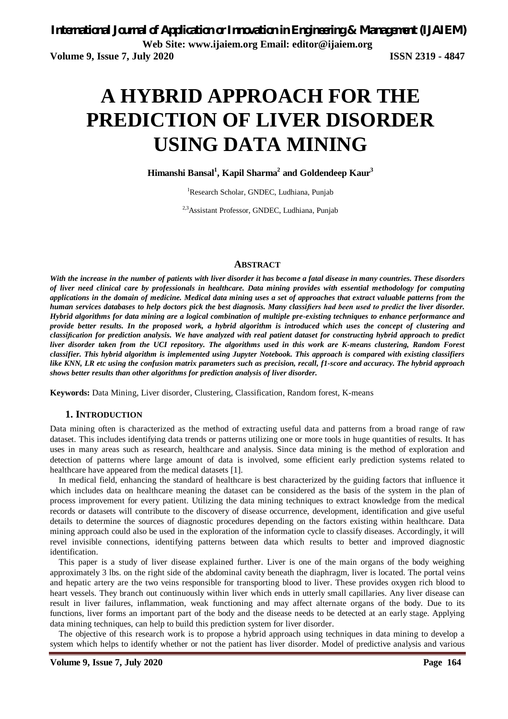# **A HYBRID APPROACH FOR THE PREDICTION OF LIVER DISORDER USING DATA MINING**

**Himanshi Bansal<sup>1</sup> , Kapil Sharma<sup>2</sup> and Goldendeep Kaur<sup>3</sup>**

<sup>1</sup>Research Scholar, GNDEC, Ludhiana, Punjab

<sup>2,3</sup>Assistant Professor, GNDEC, Ludhiana, Punjab

#### **ABSTRACT**

*With the increase in the number of patients with liver disorder it has become a fatal disease in many countries. These disorders of liver need clinical care by professionals in healthcare. Data mining provides with essential methodology for computing applications in the domain of medicine. Medical data mining uses a set of approaches that extract valuable patterns from the human services databases to help doctors pick the best diagnosis. Many classifiers had been used to predict the liver disorder. Hybrid algorithms for data mining are a logical combination of multiple pre-existing techniques to enhance performance and provide better results. In the proposed work, a hybrid algorithm is introduced which uses the concept of clustering and classification for prediction analysis. We have analyzed with real patient dataset for constructing hybrid approach to predict liver disorder taken from the UCI repository. The algorithms used in this work are K-means clustering, Random Forest classifier. This hybrid algorithm is implemented using Jupyter Notebook. This approach is compared with existing classifiers like KNN, LR etc using the confusion matrix parameters such as precision, recall, f1-score and accuracy. The hybrid approach shows better results than other algorithms for prediction analysis of liver disorder.*

**Keywords:** Data Mining, Liver disorder, Clustering, Classification, Random forest, K-means

### **1. INTRODUCTION**

Data mining often is characterized as the method of extracting useful data and patterns from a broad range of raw dataset. This includes identifying data trends or patterns utilizing one or more tools in huge quantities of results. It has uses in many areas such as research, healthcare and analysis. Since data mining is the method of exploration and detection of patterns where large amount of data is involved, some efficient early prediction systems related to healthcare have appeared from the medical datasets [1].

In medical field, enhancing the standard of healthcare is best characterized by the guiding factors that influence it which includes data on healthcare meaning the dataset can be considered as the basis of the system in the plan of process improvement for every patient. Utilizing the data mining techniques to extract knowledge from the medical records or datasets will contribute to the discovery of disease occurrence, development, identification and give useful details to determine the sources of diagnostic procedures depending on the factors existing within healthcare. Data mining approach could also be used in the exploration of the information cycle to classify diseases. Accordingly, it will revel invisible connections, identifying patterns between data which results to better and improved diagnostic identification.

This paper is a study of liver disease explained further. Liver is one of the main organs of the body weighing approximately 3 lbs. on the right side of the abdominal cavity beneath the diaphragm, liver is located. The portal veins and hepatic artery are the two veins responsible for transporting blood to liver. These provides oxygen rich blood to heart vessels. They branch out continuously within liver which ends in utterly small capillaries. Any liver disease can result in liver failures, inflammation, weak functioning and may affect alternate organs of the body. Due to its functions, liver forms an important part of the body and the disease needs to be detected at an early stage. Applying data mining techniques, can help to build this prediction system for liver disorder.

The objective of this research work is to propose a hybrid approach using techniques in data mining to develop a system which helps to identify whether or not the patient has liver disorder. Model of predictive analysis and various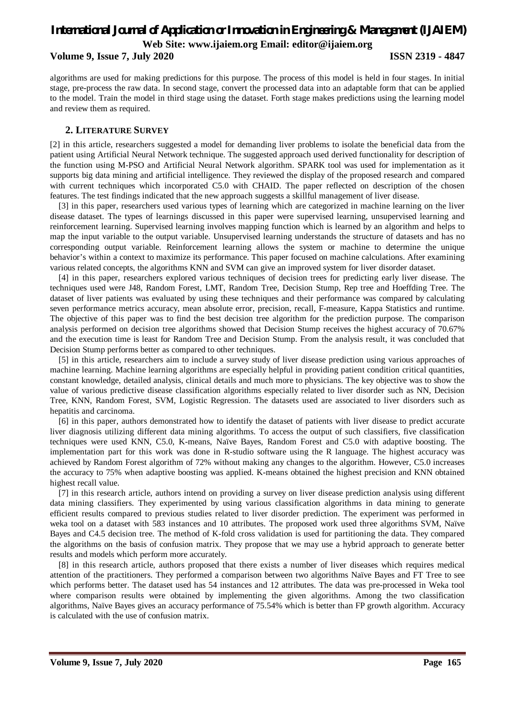### **Volume 9, Issue 7, July 2020 ISSN 2319 - 4847**

algorithms are used for making predictions for this purpose. The process of this model is held in four stages. In initial stage, pre-process the raw data. In second stage, convert the processed data into an adaptable form that can be applied to the model. Train the model in third stage using the dataset. Forth stage makes predictions using the learning model and review them as required.

### **2. LITERATURE SURVEY**

[2] in this article, researchers suggested a model for demanding liver problems to isolate the beneficial data from the patient using Artificial Neural Network technique. The suggested approach used derived functionality for description of the function using M-PSO and Artificial Neural Network algorithm. SPARK tool was used for implementation as it supports big data mining and artificial intelligence. They reviewed the display of the proposed research and compared with current techniques which incorporated C5.0 with CHAID. The paper reflected on description of the chosen features. The test findings indicated that the new approach suggests a skillful management of liver disease.

[3] in this paper, researchers used various types of learning which are categorized in machine learning on the liver disease dataset. The types of learnings discussed in this paper were supervised learning, unsupervised learning and reinforcement learning. Supervised learning involves mapping function which is learned by an algorithm and helps to map the input variable to the output variable. Unsupervised learning understands the structure of datasets and has no corresponding output variable. Reinforcement learning allows the system or machine to determine the unique behavior's within a context to maximize its performance. This paper focused on machine calculations. After examining various related concepts, the algorithms KNN and SVM can give an improved system for liver disorder dataset.

[4] in this paper, researchers explored various techniques of decision trees for predicting early liver disease. The techniques used were J48, Random Forest, LMT, Random Tree, Decision Stump, Rep tree and Hoeffding Tree. The dataset of liver patients was evaluated by using these techniques and their performance was compared by calculating seven performance metrics accuracy, mean absolute error, precision, recall, F-measure, Kappa Statistics and runtime. The objective of this paper was to find the best decision tree algorithm for the prediction purpose. The comparison analysis performed on decision tree algorithms showed that Decision Stump receives the highest accuracy of 70.67% and the execution time is least for Random Tree and Decision Stump. From the analysis result, it was concluded that Decision Stump performs better as compared to other techniques.

[5] in this article, researchers aim to include a survey study of liver disease prediction using various approaches of machine learning. Machine learning algorithms are especially helpful in providing patient condition critical quantities, constant knowledge, detailed analysis, clinical details and much more to physicians. The key objective was to show the value of various predictive disease classification algorithms especially related to liver disorder such as NN, Decision Tree, KNN, Random Forest, SVM, Logistic Regression. The datasets used are associated to liver disorders such as hepatitis and carcinoma.

[6] in this paper, authors demonstrated how to identify the dataset of patients with liver disease to predict accurate liver diagnosis utilizing different data mining algorithms. To access the output of such classifiers, five classification techniques were used KNN, C5.0, K-means, Naïve Bayes, Random Forest and C5.0 with adaptive boosting. The implementation part for this work was done in R-studio software using the R language. The highest accuracy was achieved by Random Forest algorithm of 72% without making any changes to the algorithm. However, C5.0 increases the accuracy to 75% when adaptive boosting was applied. K-means obtained the highest precision and KNN obtained highest recall value.

[7] in this research article, authors intend on providing a survey on liver disease prediction analysis using different data mining classifiers. They experimented by using various classification algorithms in data mining to generate efficient results compared to previous studies related to liver disorder prediction. The experiment was performed in weka tool on a dataset with 583 instances and 10 attributes. The proposed work used three algorithms SVM, Naïve Bayes and C4.5 decision tree. The method of K-fold cross validation is used for partitioning the data. They compared the algorithms on the basis of confusion matrix. They propose that we may use a hybrid approach to generate better results and models which perform more accurately.

[8] in this research article, authors proposed that there exists a number of liver diseases which requires medical attention of the practitioners. They performed a comparison between two algorithms Naïve Bayes and FT Tree to see which performs better. The dataset used has 54 instances and 12 attributes. The data was pre-processed in Weka tool where comparison results were obtained by implementing the given algorithms. Among the two classification algorithms, Naïve Bayes gives an accuracy performance of 75.54% which is better than FP growth algorithm. Accuracy is calculated with the use of confusion matrix.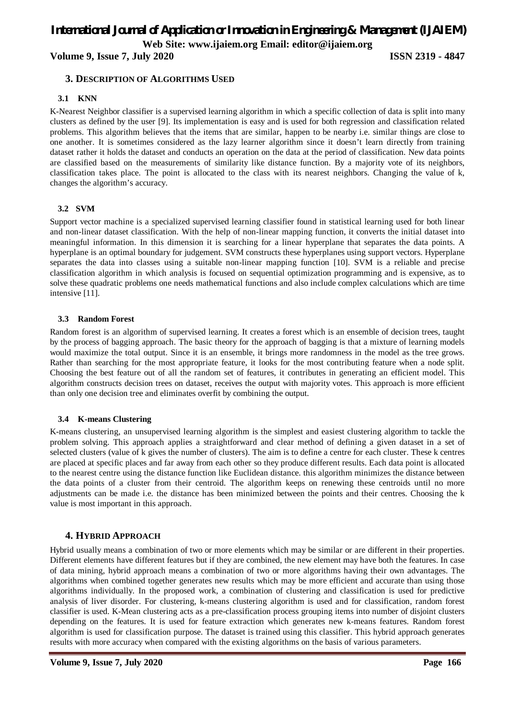**Volume 9, Issue 7, July 2020 ISSN 2319 - 4847**

### **3. DESCRIPTION OF ALGORITHMS USED**

#### **3.1 KNN**

K-Nearest Neighbor classifier is a supervised learning algorithm in which a specific collection of data is split into many clusters as defined by the user [9]. Its implementation is easy and is used for both regression and classification related problems. This algorithm believes that the items that are similar, happen to be nearby i.e. similar things are close to one another. It is sometimes considered as the lazy learner algorithm since it doesn't learn directly from training dataset rather it holds the dataset and conducts an operation on the data at the period of classification. New data points are classified based on the measurements of similarity like distance function. By a majority vote of its neighbors, classification takes place. The point is allocated to the class with its nearest neighbors. Changing the value of k, changes the algorithm's accuracy.

### **3.2 SVM**

Support vector machine is a specialized supervised learning classifier found in statistical learning used for both linear and non-linear dataset classification. With the help of non-linear mapping function, it converts the initial dataset into meaningful information. In this dimension it is searching for a linear hyperplane that separates the data points. A hyperplane is an optimal boundary for judgement. SVM constructs these hyperplanes using support vectors. Hyperplane separates the data into classes using a suitable non-linear mapping function [10]. SVM is a reliable and precise classification algorithm in which analysis is focused on sequential optimization programming and is expensive, as to solve these quadratic problems one needs mathematical functions and also include complex calculations which are time intensive [11].

#### **3.3 Random Forest**

Random forest is an algorithm of supervised learning. It creates a forest which is an ensemble of decision trees, taught by the process of bagging approach. The basic theory for the approach of bagging is that a mixture of learning models would maximize the total output. Since it is an ensemble, it brings more randomness in the model as the tree grows. Rather than searching for the most appropriate feature, it looks for the most contributing feature when a node split. Choosing the best feature out of all the random set of features, it contributes in generating an efficient model. This algorithm constructs decision trees on dataset, receives the output with majority votes. This approach is more efficient than only one decision tree and eliminates overfit by combining the output.

### **3.4 K-means Clustering**

K-means clustering, an unsupervised learning algorithm is the simplest and easiest clustering algorithm to tackle the problem solving. This approach applies a straightforward and clear method of defining a given dataset in a set of selected clusters (value of k gives the number of clusters). The aim is to define a centre for each cluster. These k centres are placed at specific places and far away from each other so they produce different results. Each data point is allocated to the nearest centre using the distance function like Euclidean distance. this algorithm minimizes the distance between the data points of a cluster from their centroid. The algorithm keeps on renewing these centroids until no more adjustments can be made i.e. the distance has been minimized between the points and their centres. Choosing the k value is most important in this approach.

### **4. HYBRID APPROACH**

Hybrid usually means a combination of two or more elements which may be similar or are different in their properties. Different elements have different features but if they are combined, the new element may have both the features. In case of data mining, hybrid approach means a combination of two or more algorithms having their own advantages. The algorithms when combined together generates new results which may be more efficient and accurate than using those algorithms individually. In the proposed work, a combination of clustering and classification is used for predictive analysis of liver disorder. For clustering, k-means clustering algorithm is used and for classification, random forest classifier is used. K-Mean clustering acts as a pre-classification process grouping items into number of disjoint clusters depending on the features. It is used for feature extraction which generates new k-means features. Random forest algorithm is used for classification purpose. The dataset is trained using this classifier. This hybrid approach generates results with more accuracy when compared with the existing algorithms on the basis of various parameters.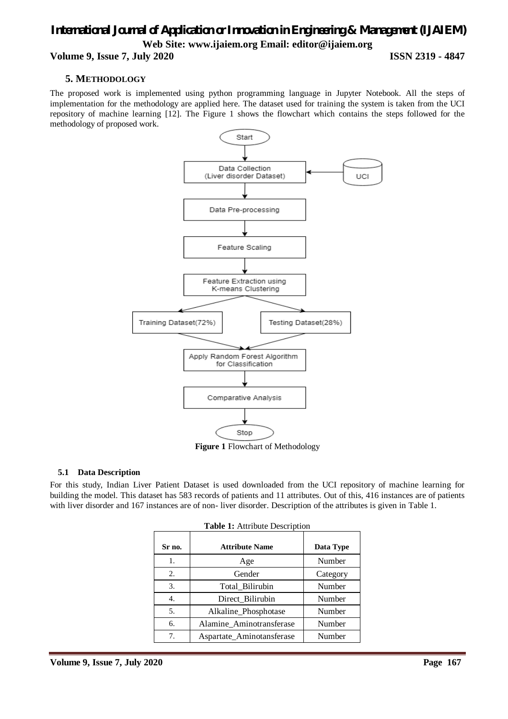### *International Journal of Application or Innovation in Engineering & Management (IJAIEM)* **Web Site: www.ijaiem.org Email: editor@ijaiem.org Volume 9, Issue 7, July 2020 ISSN 2319 - 4847**

## **5. METHODOLOGY**

The proposed work is implemented using python programming language in Jupyter Notebook. All the steps of implementation for the methodology are applied here. The dataset used for training the system is taken from the UCI repository of machine learning [12]. The Figure 1 shows the flowchart which contains the steps followed for the methodology of proposed work.



**Figure 1** Flowchart of Methodology

### **5.1 Data Description**

For this study, Indian Liver Patient Dataset is used downloaded from the UCI repository of machine learning for building the model. This dataset has 583 records of patients and 11 attributes. Out of this, 416 instances are of patients with liver disorder and 167 instances are of non- liver disorder. Description of the attributes is given in Table 1.

| Table 1: Attribute Description |                           |           |  |  |  |
|--------------------------------|---------------------------|-----------|--|--|--|
| Sr no.                         | <b>Attribute Name</b>     | Data Type |  |  |  |
| 1.                             | Age                       | Number    |  |  |  |
| 2.                             | Gender                    | Category  |  |  |  |
| 3.                             | Total_Bilirubin           | Number    |  |  |  |
| 4.                             | Direct_Bilirubin          | Number    |  |  |  |
| 5.                             | Alkaline_Phosphotase      | Number    |  |  |  |
| б.                             | Alamine Aminotransferase  | Number    |  |  |  |
| 7.                             | Aspartate_Aminotansferase | Number    |  |  |  |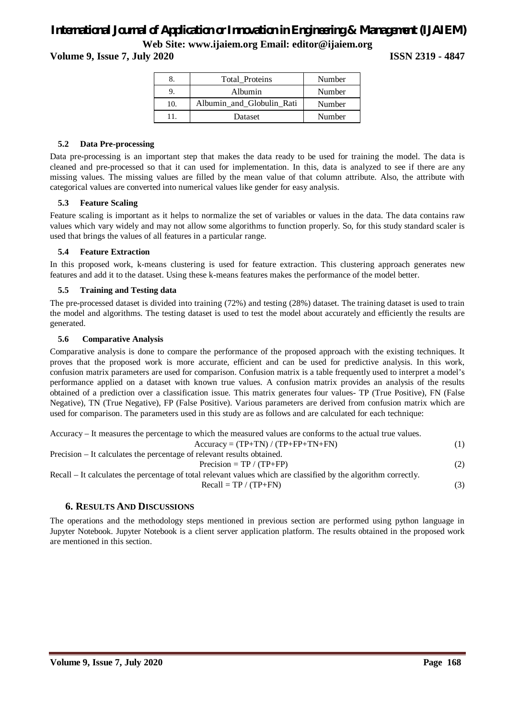### **Volume 9, Issue 7, July 2020 ISSN 2319 - 4847**

| 8.  | Total Proteins            | Number |
|-----|---------------------------|--------|
|     | Albumin                   | Number |
| 10. | Albumin and Globulin Rati | Number |
| 11  | Dataset                   | Number |

#### **5.2 Data Pre-processing**

Data pre-processing is an important step that makes the data ready to be used for training the model. The data is cleaned and pre-processed so that it can used for implementation. In this, data is analyzed to see if there are any missing values. The missing values are filled by the mean value of that column attribute. Also, the attribute with categorical values are converted into numerical values like gender for easy analysis.

### **5.3 Feature Scaling**

Feature scaling is important as it helps to normalize the set of variables or values in the data. The data contains raw values which vary widely and may not allow some algorithms to function properly. So, for this study standard scaler is used that brings the values of all features in a particular range.

#### **5.4 Feature Extraction**

In this proposed work, k-means clustering is used for feature extraction. This clustering approach generates new features and add it to the dataset. Using these k-means features makes the performance of the model better.

### **5.5 Training and Testing data**

The pre-processed dataset is divided into training (72%) and testing (28%) dataset. The training dataset is used to train the model and algorithms. The testing dataset is used to test the model about accurately and efficiently the results are generated.

#### **5.6 Comparative Analysis**

Comparative analysis is done to compare the performance of the proposed approach with the existing techniques. It proves that the proposed work is more accurate, efficient and can be used for predictive analysis. In this work, confusion matrix parameters are used for comparison. Confusion matrix is a table frequently used to interpret a model's performance applied on a dataset with known true values. A confusion matrix provides an analysis of the results obtained of a prediction over a classification issue. This matrix generates four values- TP (True Positive), FN (False Negative), TN (True Negative), FP (False Positive). Various parameters are derived from confusion matrix which are used for comparison. The parameters used in this study are as follows and are calculated for each technique:

| Accuracy – It measures the percentage to which the measured values are conforms to the actual true values. |     |  |  |  |
|------------------------------------------------------------------------------------------------------------|-----|--|--|--|
| $Accuracy = (TP+TN) / (TP+FP+TN+FN)$                                                                       | (1) |  |  |  |
| Precision – It calculates the percentage of relevant results obtained.                                     |     |  |  |  |
| Precision = $TP / (TP + FP)$                                                                               | (2) |  |  |  |

Recall – It calculates the percentage of total relevant values which are classified by the algorithm correctly.  $Recall = TP / (TP+FN)$  (3)

### **6. RESULTS AND DISCUSSIONS**

The operations and the methodology steps mentioned in previous section are performed using python language in Jupyter Notebook. Jupyter Notebook is a client server application platform. The results obtained in the proposed work are mentioned in this section.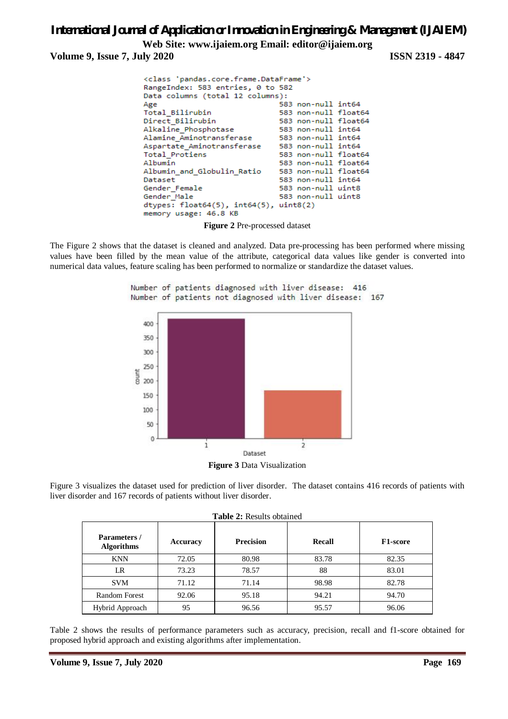**Volume 9, Issue 7, July 2020 ISSN 2319 - 4847**

```
<class 'pandas.core.frame.DataFrame'>
RangeIndex: 583 entries, 0 to 582
Data columns (total 12 columns):
Age
                               583 non-null int64
Total Bilirubin
                               583 non-null float64
Direct_Bilirubin
                               583 non-null float64
Alkaline Phosphotase
                               583 non-null int64
Alamine_Aminotransferase
                              583 non-null int64
Aspartate Aminotransferase
                              583 non-null int64
Total Protiens
                               583 non-null float64
Albumin
                               583 non-null float64
Albumin_and_Globulin_Ratio
                               583 non-null float64
Dataset
                               583 non-null int64
Gender_Female
                               583 non-null uint8
Gender_Male
                               583 non-null uint8
dtypes: float64(5), int64(5), uint8(2)
memory usage: 46.8 KB
```
**Figure 2** Pre-processed dataset

The Figure 2 shows that the dataset is cleaned and analyzed. Data pre-processing has been performed where missing values have been filled by the mean value of the attribute, categorical data values like gender is converted into numerical data values, feature scaling has been performed to normalize or standardize the dataset values.

Number of patients diagnosed with liver disease: 416



**Figure 3** Data Visualization

Figure 3 visualizes the dataset used for prediction of liver disorder. The dataset contains 416 records of patients with liver disorder and 167 records of patients without liver disorder.

| <b>Table 2: Results obtained</b>  |          |                  |        |          |  |  |  |
|-----------------------------------|----------|------------------|--------|----------|--|--|--|
| Parameters /<br><b>Algorithms</b> | Accuracy | <b>Precision</b> | Recall | F1-score |  |  |  |
| <b>KNN</b>                        | 72.05    | 80.98            | 83.78  | 82.35    |  |  |  |
| LR                                | 73.23    | 78.57            | 88     | 83.01    |  |  |  |
| <b>SVM</b>                        | 71.12    | 71.14            | 98.98  | 82.78    |  |  |  |
| <b>Random Forest</b>              | 92.06    | 95.18            | 94.21  | 94.70    |  |  |  |
| Hybrid Approach                   | 95       | 96.56            | 95.57  | 96.06    |  |  |  |

Table 2 shows the results of performance parameters such as accuracy, precision, recall and f1-score obtained for proposed hybrid approach and existing algorithms after implementation.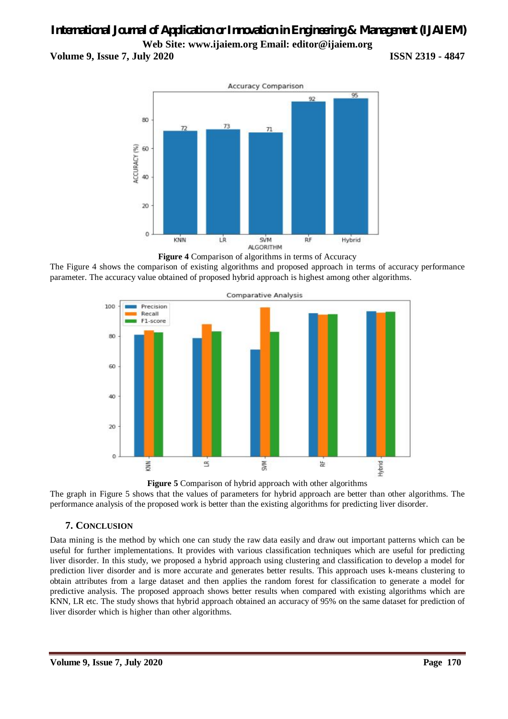### *International Journal of Application or Innovation in Engineering & Management (IJAIEM)* **Web Site: www.ijaiem.org Email: editor@ijaiem.org Volume 9, Issue 7, July 2020 ISSN 2319 - 4847**



**Figure 4** Comparison of algorithms in terms of Accuracy The Figure 4 shows the comparison of existing algorithms and proposed approach in terms of accuracy performance parameter. The accuracy value obtained of proposed hybrid approach is highest among other algorithms.



**Figure 5** Comparison of hybrid approach with other algorithms

The graph in Figure 5 shows that the values of parameters for hybrid approach are better than other algorithms. The performance analysis of the proposed work is better than the existing algorithms for predicting liver disorder.

### **7. CONCLUSION**

Data mining is the method by which one can study the raw data easily and draw out important patterns which can be useful for further implementations. It provides with various classification techniques which are useful for predicting liver disorder. In this study, we proposed a hybrid approach using clustering and classification to develop a model for prediction liver disorder and is more accurate and generates better results. This approach uses k-means clustering to obtain attributes from a large dataset and then applies the random forest for classification to generate a model for predictive analysis. The proposed approach shows better results when compared with existing algorithms which are KNN, LR etc. The study shows that hybrid approach obtained an accuracy of 95% on the same dataset for prediction of liver disorder which is higher than other algorithms.